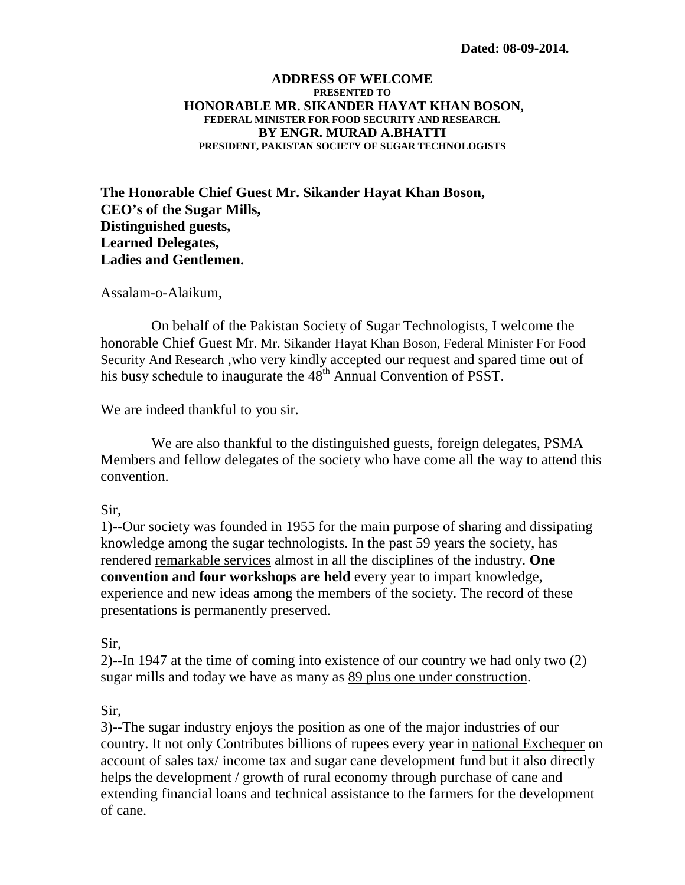#### **ADDRESS OF WELCOME PRESENTED TO HONORABLE MR. SIKANDER HAYAT KHAN BOSON, FEDERAL MINISTER FOR FOOD SECURITY AND RESEARCH. BY ENGR. MURAD A.BHATTI PRESIDENT, PAKISTAN SOCIETY OF SUGAR TECHNOLOGISTS**

**The Honorable Chief Guest Mr. Sikander Hayat Khan Boson, CEO's of the Sugar Mills, Distinguished guests, Learned Delegates, Ladies and Gentlemen.**

Assalam-o-Alaikum,

On behalf of the Pakistan Society of Sugar Technologists, I welcome the honorable Chief Guest Mr. Mr. Sikander Hayat Khan Boson, Federal Minister For Food Security And Research ,who very kindly accepted our request and spared time out of his busy schedule to inaugurate the 48<sup>th</sup> Annual Convention of PSST.

We are indeed thankful to you sir.

 We are also thankful to the distinguished guests, foreign delegates, PSMA Members and fellow delegates of the society who have come all the way to attend this convention.

#### Sir,

1)--Our society was founded in 1955 for the main purpose of sharing and dissipating knowledge among the sugar technologists. In the past 59 years the society, has rendered remarkable services almost in all the disciplines of the industry. **One convention and four workshops are held** every year to impart knowledge, experience and new ideas among the members of the society. The record of these presentations is permanently preserved.

Sir,

2)--In 1947 at the time of coming into existence of our country we had only two (2) sugar mills and today we have as many as 89 plus one under construction.

Sir,

3)--The sugar industry enjoys the position as one of the major industries of our country. It not only Contributes billions of rupees every year in national Exchequer on account of sales tax/ income tax and sugar cane development fund but it also directly helps the development / growth of rural economy through purchase of cane and extending financial loans and technical assistance to the farmers for the development of cane.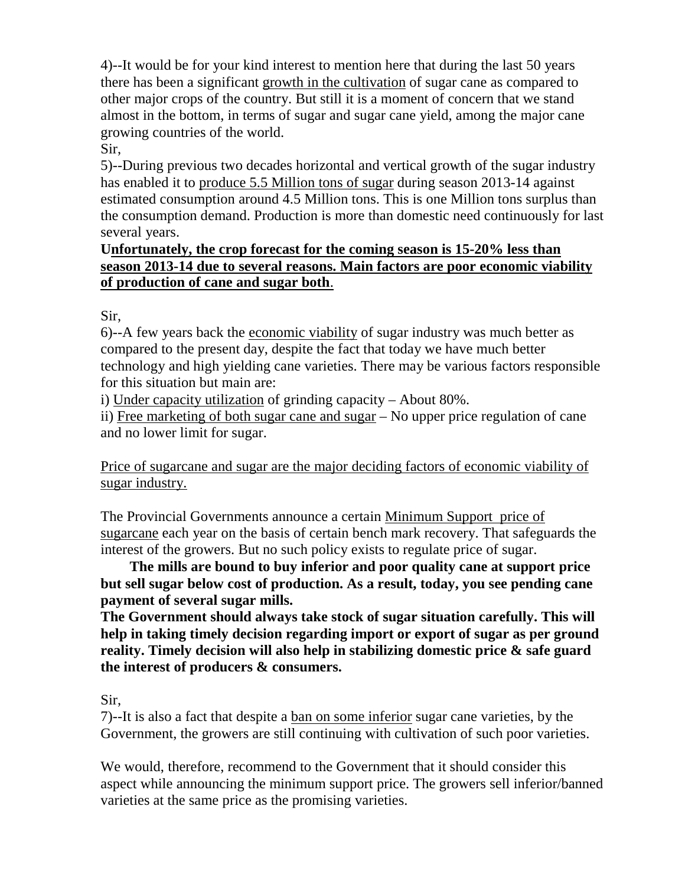4)--It would be for your kind interest to mention here that during the last 50 years there has been a significant growth in the cultivation of sugar cane as compared to other major crops of the country. But still it is a moment of concern that we stand almost in the bottom, in terms of sugar and sugar cane yield, among the major cane growing countries of the world.

#### Sir,

5)--During previous two decades horizontal and vertical growth of the sugar industry has enabled it to produce 5.5 Million tons of sugar during season 2013-14 against estimated consumption around 4.5 Million tons. This is one Million tons surplus than the consumption demand. Production is more than domestic need continuously for last several years.

## **U nfortunately, the crop forecast for the coming season is 15-20% less than season 2013-14 due to several reasons. Main factors are poor economic viability of production of cane and sugar both**.

## Sir,

6)--A few years back the economic viability of sugar industry was much better as compared to the present day, despite the fact that today we have much better technology and high yielding cane varieties. There may be various factors responsible for this situation but main are:

i) Under capacity utilization of grinding capacity - About 80%.

ii) Free marketing of both sugar cane and sugar – No upper price regulation of cane and no lower limit for sugar.

Price of sugarcane and sugar are the major deciding factors of economic viability of sugar industry.

The Provincial Governments announce a certain Minimum Support price of sugarcane each year on the basis of certain bench mark recovery. That safeguards the interest of the growers. But no such policy exists to regulate price of sugar.

 **The mills are bound to buy inferior and poor quality cane at support price but sell sugar below cost of production. As a result, today, you see pending cane payment of several sugar mills.**

**The Government should always take stock of sugar situation carefully. This will help in taking timely decision regarding import or export of sugar as per ground reality. Timely decision will also help in stabilizing domestic price & safe guard the interest of producers & consumers.** 

Sir,

7)--It is also a fact that despite a ban on some inferior sugar cane varieties, by the Government, the growers are still continuing with cultivation of such poor varieties.

We would, therefore, recommend to the Government that it should consider this aspect while announcing the minimum support price. The growers sell inferior/banned varieties at the same price as the promising varieties.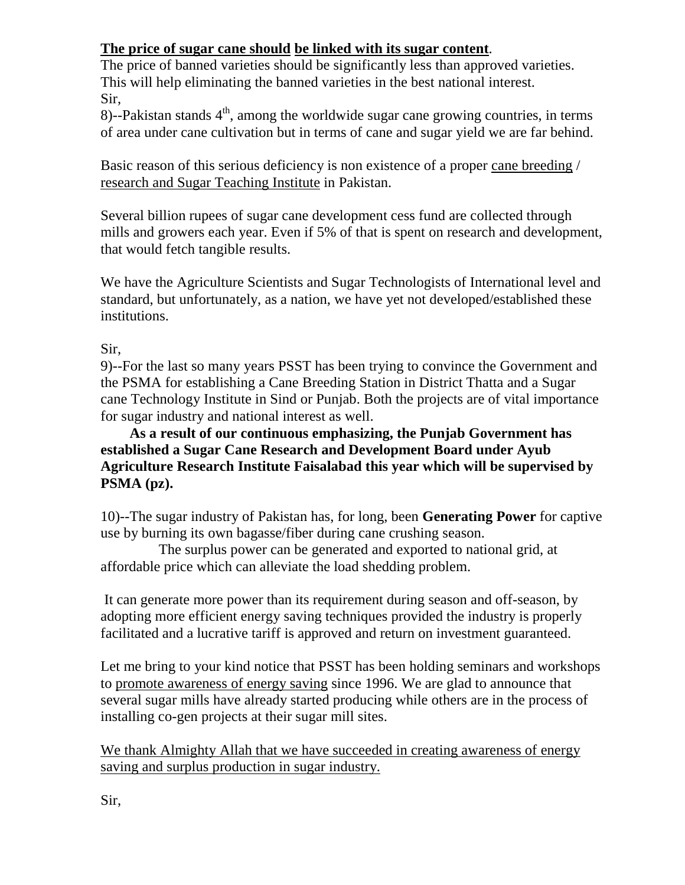# **The price of sugar cane should be linked with its sugar content** .

The price of banned varieties should be significantly less than approved varieties. This will help eliminating the banned varieties in the best national interest. Sir,

8)--Pakistan stands  $4<sup>th</sup>$ , among the worldwide sugar cane growing countries, in terms of area under cane cultivation but in terms of cane and sugar yield we are far behind.

Basic reason of this serious deficiency is non existence of a proper cane breeding / research and Sugar Teaching Institute in Pakistan.

Several billion rupees of sugar cane development cess fund are collected through mills and growers each year. Even if 5% of that is spent on research and development, that would fetch tangible results.

We have the Agriculture Scientists and Sugar Technologists of International level and standard, but unfortunately, as a nation, we have yet not developed/established these institutions.

## Sir,

9)--For the last so many years PSST has been trying to convince the Government and the PSMA for establishing a Cane Breeding Station in District Thatta and a Sugar cane Technology Institute in Sind or Punjab. Both the projects are of vital importance for sugar industry and national interest as well.

 **As a result of our continuous emphasizing, the Punjab Government has established a Sugar Cane Research and Development Board under Ayub Agriculture Research Institute Faisalabad this year which will be supervised by PSMA (pz).** 

10)--The sugar industry of Pakistan has, for long, been **Generating Power** for captive use by burning its own bagasse/fiber during cane crushing season.

 The surplus power can be generated and exported to national grid, at affordable price which can alleviate the load shedding problem.

It can generate more power than its requirement during season and off-season, by adopting more efficient energy saving techniques provided the industry is properly facilitated and a lucrative tariff is approved and return on investment guaranteed.

Let me bring to your kind notice that PSST has been holding seminars and workshops to promote awareness of energy saving since 1996. We are glad to announce that several sugar mills have already started producing while others are in the process of installing co-gen projects at their sugar mill sites.

We thank Almighty Allah that we have succeeded in creating awareness of energy saving and surplus production in sugar industry.